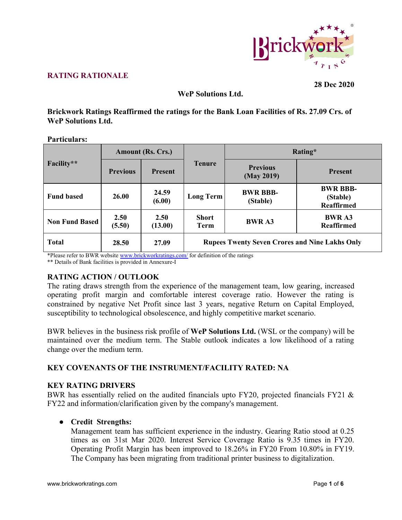

## **RATING RATIONALE**

 **28 Dec 2020**

#### **WeP Solutions Ltd.**

**Brickwork Ratings Reaffirmed the ratings for the Bank Loan Facilities of Rs. 27.09 Crs. of WeP Solutions Ltd.**

#### **Particulars:**

| Facility**            | <b>Amount (Rs. Crs.)</b> |                        |                                                       | Rating*                       |                                                  |  |
|-----------------------|--------------------------|------------------------|-------------------------------------------------------|-------------------------------|--------------------------------------------------|--|
|                       | <b>Previous</b>          | <b>Present</b>         | <b>Tenure</b>                                         | <b>Previous</b><br>(May 2019) | <b>Present</b>                                   |  |
| <b>Fund based</b>     | 26.00                    | 24.59<br>(6.00)        | <b>Long Term</b>                                      | <b>BWR BBB-</b><br>(Stable)   | <b>BWR BBB-</b><br>(Stable)<br><b>Reaffirmed</b> |  |
| <b>Non Fund Based</b> | <b>2.50</b><br>(5.50)    | <b>2.50</b><br>(13.00) | <b>Short</b><br>Term                                  | <b>BWR A3</b>                 | <b>BWR A3</b><br><b>Reaffirmed</b>               |  |
| <b>Total</b>          | 28.50                    | 27.09                  | <b>Rupees Twenty Seven Crores and Nine Lakhs Only</b> |                               |                                                  |  |

\*Please refer to BWR website [www.brickworkratings.com/](http://www.brickworkratings.com/) for definition of the ratings

\*\* Details of Bank facilities is provided in Annexure-I

## **RATING ACTION / OUTLOOK**

The rating draws strength from the experience of the management team, low gearing, increased operating profit margin and comfortable interest coverage ratio. However the rating is constrained by negative Net Profit since last 3 years, negative Return on Capital Employed, susceptibility to technological obsolescence, and highly competitive market scenario.

BWR believes in the business risk profile of **WeP Solutions Ltd.** (WSL or the company) will be maintained over the medium term. The Stable outlook indicates a low likelihood of a rating change over the medium term.

## **KEY COVENANTS OF THE INSTRUMENT/FACILITY RATED: NA**

## **KEY RATING DRIVERS**

BWR has essentially relied on the audited financials upto FY20, projected financials FY21 & FY22 and information/clarification given by the company's management.

## **● Credit Strengths:**

Management team has sufficient experience in the industry. Gearing Ratio stood at 0.25 times as on 31st Mar 2020. Interest Service Coverage Ratio is 9.35 times in FY20. Operating Profit Margin has been improved to 18.26% in FY20 From 10.80% in FY19. The Company has been migrating from traditional printer business to digitalization.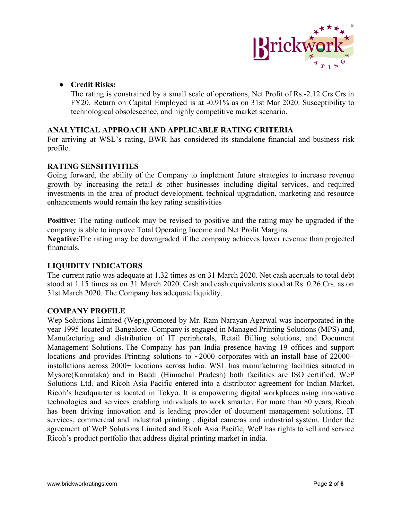

## **● Credit Risks:**

The rating is constrained by a small scale of operations, Net Profit of Rs.-2.12 Crs Crs in FY20. Return on Capital Employed is at -0.91% as on 31st Mar 2020. Susceptibility to technological obsolescence, and highly competitive market scenario.

## **ANALYTICAL APPROACH AND APPLICABLE RATING CRITERIA**

For arriving at WSL's rating, BWR has considered its standalone financial and business risk profile.

#### **RATING SENSITIVITIES**

Going forward, the ability of the Company to implement future strategies to increase revenue growth by increasing the retail & other businesses including digital services, and required investments in the area of product development, technical upgradation, marketing and resource enhancements would remain the key rating sensitivities

**Positive:** The rating outlook may be revised to positive and the rating may be upgraded if the company is able to improve Total Operating Income and Net Profit Margins.

**Negative:**The rating may be downgraded if the company achieves lower revenue than projected financials.

## **LIQUIDITY INDICATORS**

The current ratio was adequate at 1.32 times as on 31 March 2020. Net cash accruals to total debt stood at 1.15 times as on 31 March 2020. Cash and cash equivalents stood at Rs. 0.26 Crs. as on 31st March 2020. The Company has adequate liquidity.

#### **COMPANY PROFILE**

Wep Solutions Limited (Wep),promoted by Mr. Ram Narayan Agarwal was incorporated in the year 1995 located at Bangalore. Company is engaged in Managed Printing Solutions (MPS) and, Manufacturing and distribution of IT peripherals, Retail Billing solutions, and Document Management Solutions. The Company has pan India presence having 19 offices and support locations and provides Printing solutions to  $\sim$  2000 corporates with an install base of 22000+ installations across 2000+ locations across India. WSL has manufacturing facilities situated in Mysore(Karnataka) and in Baddi (Himachal Pradesh) both facilities are ISO certified. WeP Solutions Ltd. and Ricoh Asia Pacific entered into a distributor agreement for Indian Market. Ricoh's headquarter is located in Tokyo. It is empowering digital workplaces using innovative technologies and services enabling individuals to work smarter. For more than 80 years, Ricoh has been driving innovation and is leading provider of document management solutions, IT services, commercial and industrial printing , digital cameras and industrial system. Under the agreement of WeP Solutions Limited and Ricoh Asia Pacific, WeP has rights to sell and service Ricoh's product portfolio that address digital printing market in india.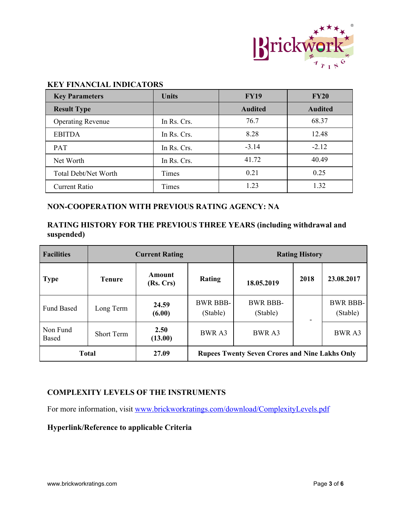

| <b>Key Parameters</b>       | <b>Units</b> | <b>FY19</b>    | <b>FY20</b>    |  |
|-----------------------------|--------------|----------------|----------------|--|
| <b>Result Type</b>          |              | <b>Audited</b> | <b>Audited</b> |  |
| <b>Operating Revenue</b>    | In Rs. Crs.  | 76.7           | 68.37          |  |
| <b>EBITDA</b>               | In Rs. Crs.  | 8.28           | 12.48          |  |
| <b>PAT</b>                  | In Rs. Crs.  | $-3.14$        | $-2.12$        |  |
| Net Worth                   | In Rs. Crs.  | 41.72          | 40.49          |  |
| <b>Total Debt/Net Worth</b> | Times        | 0.21           | 0.25           |  |
| <b>Current Ratio</b>        | Times        | 1.23           | 1.32           |  |

#### **KEY FINANCIAL INDICATORS**

## **NON-COOPERATION WITH PREVIOUS RATING AGENCY: NA**

# **RATING HISTORY FOR THE PREVIOUS THREE YEARS (including withdrawal and suspended)**

| <b>Facilities</b> |                   | <b>Current Rating</b> |                                                       |                             | <b>Rating History</b> |                             |  |
|-------------------|-------------------|-----------------------|-------------------------------------------------------|-----------------------------|-----------------------|-----------------------------|--|
| <b>Type</b>       | <b>Tenure</b>     | Amount<br>(Rs. Crs)   | Rating                                                | 18.05.2019                  | 2018                  | 23.08.2017                  |  |
| <b>Fund Based</b> | Long Term         | 24.59<br>(6.00)       | <b>BWR BBB-</b><br>(Stable)                           | <b>BWR BBB-</b><br>(Stable) |                       | <b>BWR BBB-</b><br>(Stable) |  |
| Non Fund<br>Based | <b>Short Term</b> | 2.50<br>(13.00)       | BWR A3                                                | <b>BWR A3</b>               |                       | <b>BWR A3</b>               |  |
| <b>Total</b>      |                   | 27.09                 | <b>Rupees Twenty Seven Crores and Nine Lakhs Only</b> |                             |                       |                             |  |

#### **COMPLEXITY LEVELS OF THE INSTRUMENTS**

For more information, visit [www.brickworkratings.com/download/ComplexityLevels.pdf](http://www.brickworkratings.com/download/ComplexityLevels.pdf)

#### **Hyperlink/Reference to applicable Criteria**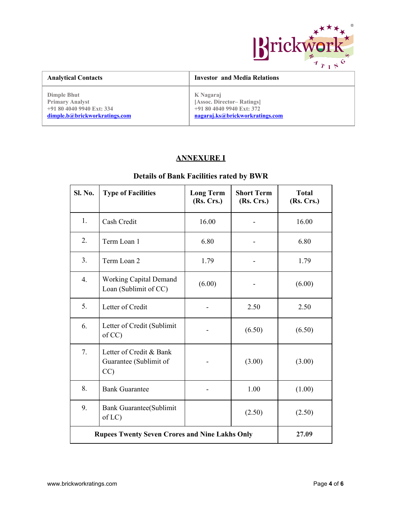

| <b>Analytical Contacts</b>    | <b>Investor and Media Relations</b> |
|-------------------------------|-------------------------------------|
| Dimple Bhut                   | K Nagaraj                           |
| <b>Primary Analyst</b>        | [Assoc. Director-Ratings]           |
| $+918040409940$ Ext: 334      | $+918040409940$ Ext: 372            |
| dimple.b@brickworkratings.com | nagaraj.ks@brickworkratings.com     |

## **ANNEXURE I**

# **Details of Bank Facilities rated by BWR**

| <b>Sl. No.</b>                                        | <b>Type of Facilities</b>                               | <b>Long Term</b><br>(Rs. Crs.) | <b>Short Term</b><br>(Rs. Crs.) | <b>Total</b><br>(Rs. Crs.) |
|-------------------------------------------------------|---------------------------------------------------------|--------------------------------|---------------------------------|----------------------------|
| 1.                                                    | Cash Credit                                             | 16.00                          |                                 | 16.00                      |
| 2.                                                    | Term Loan 1                                             | 6.80                           |                                 | 6.80                       |
| 3.                                                    | Term Loan 2                                             | 1.79                           |                                 | 1.79                       |
| $\overline{4}$ .                                      | <b>Working Capital Demand</b><br>Loan (Sublimit of CC)  | (6.00)                         |                                 | (6.00)                     |
| 5.                                                    | Letter of Credit                                        |                                | 2.50                            | 2.50                       |
| 6.                                                    | Letter of Credit (Sublimit<br>of CC)                    |                                | (6.50)                          | (6.50)                     |
| 7.                                                    | Letter of Credit & Bank<br>Guarantee (Sublimit of<br>CC |                                | (3.00)                          | (3.00)                     |
| 8.                                                    | <b>Bank Guarantee</b>                                   |                                | 1.00                            | (1.00)                     |
| 9.                                                    | Bank Guarantee (Sublimit<br>of LC)                      |                                | (2.50)                          | (2.50)                     |
| <b>Rupees Twenty Seven Crores and Nine Lakhs Only</b> | 27.09                                                   |                                |                                 |                            |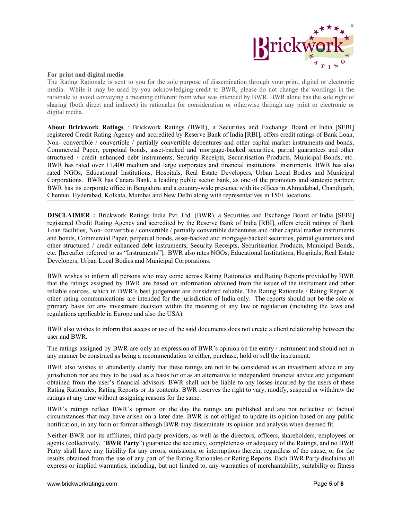

#### **For print and digital media**

The Rating Rationale is sent to you for the sole purpose of dissemination through your print, digital or electronic media. While it may be used by you acknowledging credit to BWR, please do not change the wordings in the rationale to avoid conveying a meaning different from what was intended by BWR. BWR alone has the sole right of sharing (both direct and indirect) its rationales for consideration or otherwise through any print or electronic or digital media.

**About Brickwork Ratings** : Brickwork Ratings (BWR), a Securities and Exchange Board of India [SEBI] registered Credit Rating Agency and accredited by Reserve Bank of India [RBI], offers credit ratings of Bank Loan, Non- convertible / convertible / partially convertible debentures and other capital market instruments and bonds, Commercial Paper, perpetual bonds, asset-backed and mortgage-backed securities, partial guarantees and other structured / credit enhanced debt instruments, Security Receipts, Securitisation Products, Municipal Bonds, etc. BWR has rated over 11,400 medium and large corporates and financial institutions' instruments. BWR has also rated NGOs, Educational Institutions, Hospitals, Real Estate Developers, Urban Local Bodies and Municipal Corporations. BWR has Canara Bank, a leading public sector bank, as one of the promoters and strategic partner. BWR has its corporate office in Bengaluru and a country-wide presence with its offices in Ahmedabad, Chandigarh, Chennai, Hyderabad, Kolkata, Mumbai and New Delhi along with representatives in 150+ locations.

**DISCLAIMER :** Brickwork Ratings India Pvt. Ltd. (BWR), a Securities and Exchange Board of India [SEBI] registered Credit Rating Agency and accredited by the Reserve Bank of India [RBI], offers credit ratings of Bank Loan facilities, Non- convertible / convertible / partially convertible debentures and other capital market instruments and bonds, Commercial Paper, perpetual bonds, asset-backed and mortgage-backed securities, partial guarantees and other structured / credit enhanced debt instruments, Security Receipts, Securitisation Products, Municipal Bonds, etc. [hereafter referred to as "Instruments"]. BWR also rates NGOs, Educational Institutions, Hospitals, Real Estate Developers, Urban Local Bodies and Municipal Corporations.

BWR wishes to inform all persons who may come across Rating Rationales and Rating Reports provided by BWR that the ratings assigned by BWR are based on information obtained from the issuer of the instrument and other reliable sources, which in BWR's best judgement are considered reliable. The Rating Rationale / Rating Report & other rating communications are intended for the jurisdiction of India only. The reports should not be the sole or primary basis for any investment decision within the meaning of any law or regulation (including the laws and regulations applicable in Europe and also the USA).

BWR also wishes to inform that access or use of the said documents does not create a client relationship between the user and BWR.

The ratings assigned by BWR are only an expression of BWR's opinion on the entity / instrument and should not in any manner be construed as being a recommendation to either, purchase, hold or sell the instrument.

BWR also wishes to abundantly clarify that these ratings are not to be considered as an investment advice in any jurisdiction nor are they to be used as a basis for or as an alternative to independent financial advice and judgement obtained from the user's financial advisors. BWR shall not be liable to any losses incurred by the users of these Rating Rationales, Rating Reports or its contents. BWR reserves the right to vary, modify, suspend or withdraw the ratings at any time without assigning reasons for the same.

BWR's ratings reflect BWR's opinion on the day the ratings are published and are not reflective of factual circumstances that may have arisen on a later date. BWR is not obliged to update its opinion based on any public notification, in any form or format although BWR may disseminate its opinion and analysis when deemed fit.

Neither BWR nor its affiliates, third party providers, as well as the directors, officers, shareholders, employees or agents (collectively, "**BWR Party**") guarantee the accuracy, completeness or adequacy of the Ratings, and no BWR Party shall have any liability for any errors, omissions, or interruptions therein, regardless of the cause, or for the results obtained from the use of any part of the Rating Rationales or Rating Reports. Each BWR Party disclaims all express or implied warranties, including, but not limited to, any warranties of merchantability, suitability or fitness